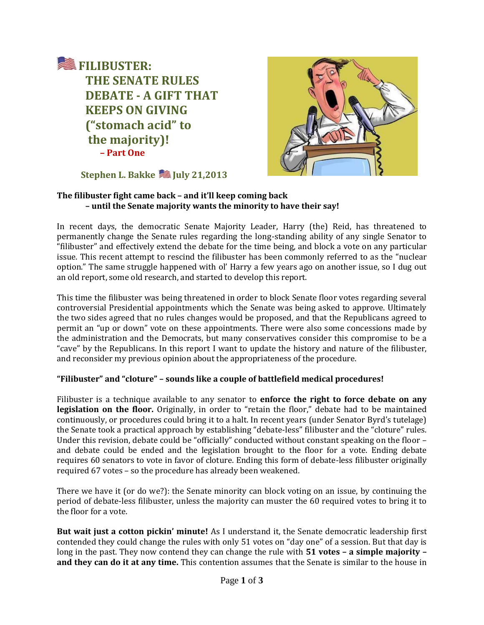



**Stephen L. Bakke Stephen L. Bakke** 

# **The filibuster fight came back – and it'll keep coming back – until the Senate majority wants the minority to have their say!**

In recent days, the democratic Senate Majority Leader, Harry (the) Reid, has threatened to permanently change the Senate rules regarding the long-standing ability of any single Senator to "filibuster" and effectively extend the debate for the time being, and block a vote on any particular issue. This recent attempt to rescind the filibuster has been commonly referred to as the "nuclear option." The same struggle happened with ol' Harry a few years ago on another issue, so I dug out an old report, some old research, and started to develop this report.

This time the filibuster was being threatened in order to block Senate floor votes regarding several controversial Presidential appointments which the Senate was being asked to approve. Ultimately the two sides agreed that no rules changes would be proposed, and that the Republicans agreed to permit an "up or down" vote on these appointments. There were also some concessions made by the administration and the Democrats, but many conservatives consider this compromise to be a "cave" by the Republicans. In this report I want to update the history and nature of the filibuster, and reconsider my previous opinion about the appropriateness of the procedure.

# **"Filibuster" and "cloture" – sounds like a couple of battlefield medical procedures!**

Filibuster is a technique available to any senator to **enforce the right to force debate on any legislation on the floor.** Originally, in order to "retain the floor," debate had to be maintained continuously, or procedures could bring it to a halt. In recent years (under Senator Byrd's tutelage) the Senate took a practical approach by establishing "debate-less" filibuster and the "cloture" rules. Under this revision, debate could be "officially" conducted without constant speaking on the floor – and debate could be ended and the legislation brought to the floor for a vote. Ending debate requires 60 senators to vote in favor of cloture. Ending this form of debate-less filibuster originally required 67 votes – so the procedure has already been weakened.

There we have it (or do we?): the Senate minority can block voting on an issue, by continuing the period of debate-less filibuster, unless the majority can muster the 60 required votes to bring it to the floor for a vote.

**But wait just a cotton pickin' minute!** As I understand it, the Senate democratic leadership first contended they could change the rules with only 51 votes on "day one" of a session. But that day is long in the past. They now contend they can change the rule with **51 votes – a simple majority – and they can do it at any time.** This contention assumes that the Senate is similar to the house in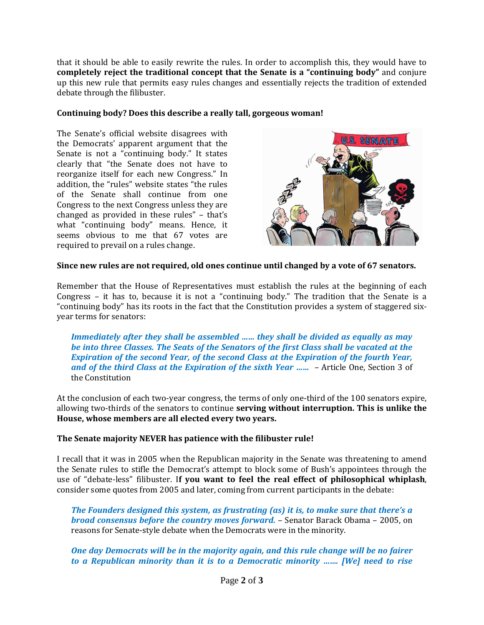that it should be able to easily rewrite the rules. In order to accomplish this, they would have to **completely reject the traditional concept that the Senate is a "continuing body"** and conjure up this new rule that permits easy rules changes and essentially rejects the tradition of extended debate through the filibuster.

## **Continuing body? Does this describe a really tall, gorgeous woman!**

The Senate's official website disagrees with the Democrats' apparent argument that the Senate is not a "continuing body." It states clearly that "the Senate does not have to reorganize itself for each new Congress." In addition, the "rules" website states "the rules of the Senate shall continue from one Congress to the next Congress unless they are changed as provided in these rules" – that's what "continuing body" means. Hence, it seems obvious to me that 67 votes are required to prevail on a rules change.



### **Since new rules are not required, old ones continue until changed by a vote of 67 senators.**

Remember that the House of Representatives must establish the rules at the beginning of each Congress – it has to, because it is not a "continuing body." The tradition that the Senate is a "continuing body" has its roots in the fact that the Constitution provides a system of staggered sixyear terms for senators:

*Immediately after they shall be assembled …… they shall be divided as equally as may be into three Classes. The Seats of the Senators of the first Class shall be vacated at the Expiration of the second Year, of the second Class at the Expiration of the fourth Year, and of the third Class at the Expiration of the sixth Year …… –* Article One, Section 3 of the Constitution

At the conclusion of each two-year congress, the terms of only one-third of the 100 senators expire, allowing two-thirds of the senators to continue **serving without interruption. This is unlike the House, whose members are all elected every two years.**

#### **The Senate majority NEVER has patience with the filibuster rule!**

I recall that it was in 2005 when the Republican majority in the Senate was threatening to amend the Senate rules to stifle the Democrat's attempt to block some of Bush's appointees through the use of "debate-less" filibuster. I**f you want to feel the real effect of philosophical whiplash**, consider some quotes from 2005 and later, coming from current participants in the debate:

*The Founders designed this system, as frustrating (as) it is, to make sure that there's a broad consensus before the country moves forward.* – Senator Barack Obama – 2005, on reasons for Senate-style debate when the Democrats were in the minority.

*One day Democrats will be in the majority again, and this rule change will be no fairer to a Republican minority than it is to a Democratic minority ……. [We] need to rise*